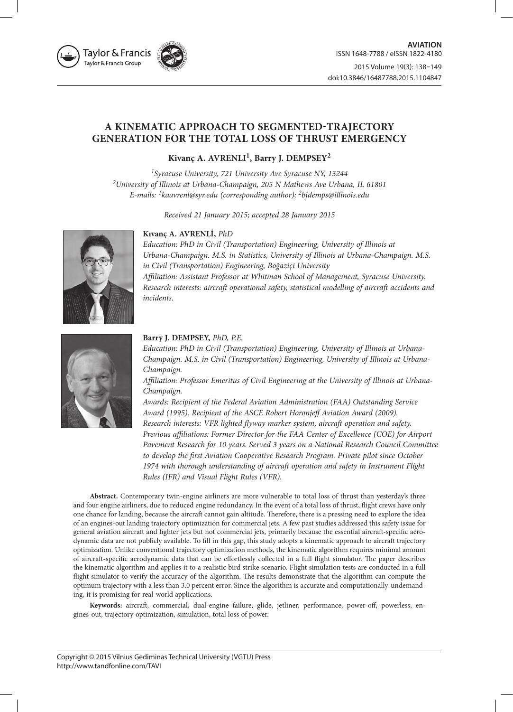

# **A KINEMATIC APPROACH TO SEGMENTED-TRAJECTORY GENERATION FOR THE TOTAL LOSS OF THRUST EMERGENCY**

# **Kivanç A. AVRENLI1, Barry J. DEMPSEY2**

*1Syracuse University, 721 University Ave Syracuse NY, 13244 2University of Illinois at Urbana-Champaign, 205 N Mathews Ave Urbana, IL 61801 E-mails: 1kaavrenl@syr.edu (corresponding author); 2bjdemps@illinois.edu*

*Received 21 January 2015; accepted 28 January 2015*

# **Kıvanç A. AVRENLİ,** *PhD*

*Education: PhD in Civil (Transportation) Engineering, University of Illinois at Urbana-Champaign. M.S. in Statistics, University of Illinois at Urbana-Champaign. M.S. in Civil (Transportation) Engineering, Boğaziçi University Affiliation: Assistant Professor at Whitman School of Management, Syracuse University. Research interests: aircraft operational safety, statistical modelling of aircraft accidents and incidents.*



# **Barry J. DEMPSEY,** *PhD, P.E.*

*Education: PhD in Civil (Transportation) Engineering, University of Illinois at Urbana-Champaign. M.S. in Civil (Transportation) Engineering, University of Illinois at Urbana-Champaign.*

*Affiliation: Professor Emeritus of Civil Engineering at the University of Illinois at Urbana-Champaign.*

*Awards: Recipient of the Federal Aviation Administration (FAA) Outstanding Service Award (1995). Recipient of the ASCE Robert Horonjeff Aviation Award (2009). Research interests: VFR lighted flyway marker system, aircraft operation and safety. Previous affiliations: Former Director for the FAA Center of Excellence (COE) for Airport Pavement Research for 10 years. Served 3 years on a National Research Council Committee to develop the first Aviation Cooperative Research Program. Private pilot since October 1974 with thorough understanding of aircraft operation and safety in Instrument Flight Rules (IFR) and Visual Flight Rules (VFR).*

**Abstract.** Contemporary twin-engine airliners are more vulnerable to total loss of thrust than yesterday's three and four engine airliners, due to reduced engine redundancy. In the event of a total loss of thrust, flight crews have only one chance for landing, because the aircraft cannot gain altitude. Therefore, there is a pressing need to explore the idea of an engines-out landing trajectory optimization for commercial jets. A few past studies addressed this safety issue for general aviation aircraft and fighter jets but not commercial jets, primarily because the essential aircraft-specific aerodynamic data are not publicly available. To fill in this gap, this study adopts a kinematic approach to aircraft trajectory optimization. Unlike conventional trajectory optimization methods, the kinematic algorithm requires minimal amount of aircraft-specific aerodynamic data that can be effortlessly collected in a full flight simulator. The paper describes the kinematic algorithm and applies it to a realistic bird strike scenario. Flight simulation tests are conducted in a full flight simulator to verify the accuracy of the algorithm. The results demonstrate that the algorithm can compute the optimum trajectory with a less than 3.0 percent error. Since the algorithm is accurate and computationally-undemanding, it is promising for real-world applications.

**Keywords:** aircraft, commercial, dual-engine failure, glide, jetliner, performance, power-off, powerless, engines-out, trajectory optimization, simulation, total loss of power.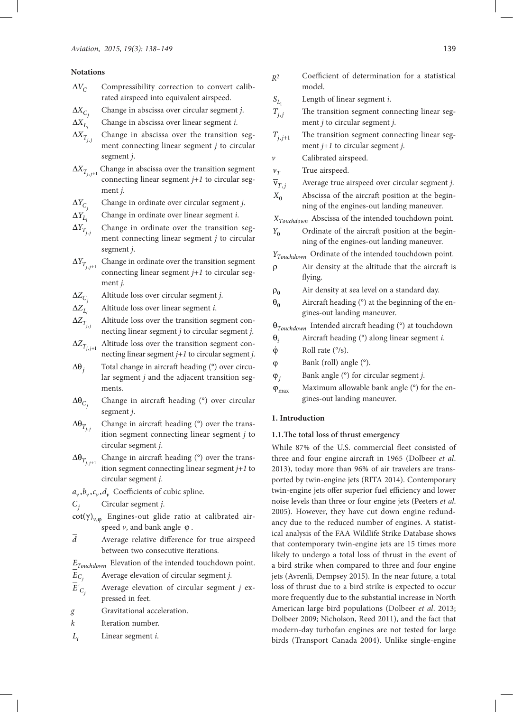# **Notations**

- $\Delta V_C$  Compressibility correction to convert calibrated airspeed into equivalent airspeed.
- $\begin{split} \Delta X_{C_j} \\ \Delta X_{L_i} \end{split}$ ∆*X* Change in abscissa over circular segment *j*.
- 
- $\Delta X_{L_i}$  Change in abscissa over linear segment *i*.<br> $\Delta X_{T_{i,i}}$  Change in abscissa over the transition Change in abscissa over the transition segment connecting linear segment *j* to circular segment *j*.
- $\Delta X_{T_{i, j+1}}$ Change in abscissa over the transition segment connecting linear segment *j+1* to circular segment *j*.
- $\Delta Y_{C_j}$ <br> $\Delta Y_{L_i}$ ∆*Y* Change in ordinate over circular segment *j*.
- 
- $\Delta Y_{L_i}$  Change in ordinate over linear segment *i*.<br> $\Delta Y_{T_{i,i}}$  Change in ordinate over the transition Change in ordinate over the transition segment connecting linear segment *j* to circular segment *j*.
- $\Delta Y_{T_{j,j+1}}$ Change in ordinate over the transition segment connecting linear segment *j+1* to circular segment *j*.
- ∆*Z* Altitude loss over circular segment *j*.
- $\Delta Z_{C_j}$ <br> $\Delta Z_{L_i}$

 $\Delta Z_{L_i}$  Altitude loss over linear segment *i*.<br> $\Delta Z_{T_{i,i}}$  Altitude loss over the transition seg-*Altitude loss over the transition segment con*necting linear segment *j* to circular segment *j*.

- $\Delta Z_{T_{j,j+1}}$ Altitude loss over the transition segment connecting linear segment *j+1* to circular segment *j*.
- ∆θ*<sup>j</sup>* Total change in aircraft heading (°) over circular segment *j* and the adjacent transition segments.
- $\Delta\Theta_{C_i}$ Change in aircraft heading (°) over circular segment *j*.
- $\Delta\pmb{\theta}_{T_{i,j}}$  . Change in aircraft heading (°) over the transition segment connecting linear segment *j* to circular segment *j*.
- $\Delta\Theta_{T_{i,i+1}}$  Change in aircraft heading (°) over the transition segment connecting linear segment *j+1* to circular segment *j*.
- $a_v, b_v, c_v, d_v$  Coefficients of cubic spline.
- *Cj* Circular segment *j*.
- $\cot(\gamma)_{v,\phi}$  Engines-out glide ratio at calibrated airspeed  $\nu$ , and bank angle  $\varphi$ .
- $\overline{d}$  Average relative difference for true airspeed between two consecutive iterations.
- *ETouchdown* Elevation of the intended touchdown point.
- *Cj E* Average elevation of circular segment *j*.
- ' *Cj E* Average elevation of circular segment *j* expressed in feet.
- *g* Gravitational acceleration.
- *k* Iteration number.
- *<sup>i</sup> L* Linear segment *i*.
- *R*<sup>2</sup> Coefficient of determination for a statistical model.
- 
- $S_{L_1}$  Length of linear segment *i*.<br> $T_{i,j}$  The transition segment con The transition segment connecting linear segment *j* to circular segment *j*.
- $T_{j,j+1}$  The transition segment connecting linear segment *j+1* to circular segment *j*.
- *v* Calibrated airspeed.
- $v_T$  True airspeed.
- $\overline{v}_{T,i}$  Average true airspeed over circular segment *j*.
- $X_0$  Abscissa of the aircraft position at the beginning of the engines-out landing maneuver.
- *XTouchdown* Abscissa of the intended touchdown point.
- *Y*<sub>0</sub> Ordinate of the aircraft position at the beginning of the engines-out landing maneuver.
- *YTouchdown* Ordinate of the intended touchdown point.
- ρ Air density at the altitude that the aircraft is flying.
- $\rho_0$  Air density at sea level on a standard day.
- $\theta_0$  Aircraft heading (°) at the beginning of the engines-out landing maneuver.

 $θ$ <sub>Touchdown</sub> Intended aircraft heading (°) at touchdown

- $θ$ <sub>*i*</sub> Aircraft heading (°) along linear segment *i*.
- $\dot{\varphi}$  Roll rate ( $\degree$ /s).
- ϕ Bank (roll) angle (°).
- ϕ*<sup>j</sup>* Bank angle (°) for circular segment *j*.
- $\varphi_{\text{max}}$  Maximum allowable bank angle (°) for the engines-out landing maneuver.

# **1. Introduction**

# **1.1.The total loss of thrust emergency**

While 87% of the U.S. commercial fleet consisted of three and four engine aircraft in 1965 (Dolbeer *et al*. 2013), today more than 96% of air travelers are transported by twin-engine jets (RITA 2014). Contemporary twin-engine jets offer superior fuel efficiency and lower noise levels than three or four engine jets (Peeters *et al*. 2005). However, they have cut down engine redundancy due to the reduced number of engines. A statistical analysis of the FAA Wildlife Strike Database shows that contemporary twin-engine jets are 15 times more likely to undergo a total loss of thrust in the event of a bird strike when compared to three and four engine jets (Avrenli, Dempsey 2015). In the near future, a total loss of thrust due to a bird strike is expected to occur more frequently due to the substantial increase in North American large bird populations (Dolbeer *et al*. 2013; Dolbeer 2009; Nicholson, Reed 2011), and the fact that modern-day turbofan engines are not tested for large birds (Transport Canada 2004). Unlike single-engine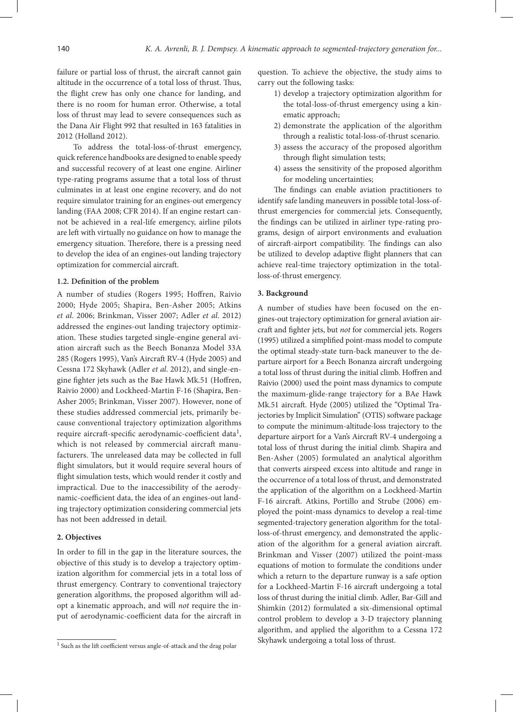failure or partial loss of thrust, the aircraft cannot gain altitude in the occurrence of a total loss of thrust. Thus, the flight crew has only one chance for landing, and there is no room for human error. Otherwise, a total loss of thrust may lead to severe consequences such as the Dana Air Flight 992 that resulted in 163 fatalities in 2012 (Holland 2012).

To address the total-loss-of-thrust emergency, quick reference handbooks are designed to enable speedy and successful recovery of at least one engine. Airliner type-rating programs assume that a total loss of thrust culminates in at least one engine recovery, and do not require simulator training for an engines-out emergency landing (FAA 2008; CFR 2014). If an engine restart cannot be achieved in a real-life emergency, airline pilots are left with virtually no guidance on how to manage the emergency situation. Therefore, there is a pressing need to develop the idea of an engines-out landing trajectory optimization for commercial aircraft.

#### **1.2. Definition of the problem**

A number of studies (Rogers 1995; Hoffren, Raivio 2000; Hyde 2005; Shapira, Ben-Asher 2005; Atkins *et al*. 2006; Brinkman, Visser 2007; Adler *et al*. 2012) addressed the engines-out landing trajectory optimization. These studies targeted single-engine general aviation aircraft such as the Beech Bonanza Model 33A 285 (Rogers 1995), Van's Aircraft RV-4 (Hyde 2005) and Cessna 172 Skyhawk (Adler *et al*. 2012), and single-engine fighter jets such as the Bae Hawk Mk.51 (Hoffren, Raivio 2000) and Lockheed-Martin F-16 (Shapira, Ben-Asher 2005; Brinkman, Visser 2007). However, none of these studies addressed commercial jets, primarily because conventional trajectory optimization algorithms require aircraft-specific aerodynamic-coefficient data<sup>1</sup>, which is not released by commercial aircraft manufacturers. The unreleased data may be collected in full flight simulators, but it would require several hours of flight simulation tests, which would render it costly and impractical. Due to the inaccessibility of the aerodynamic-coefficient data, the idea of an engines-out landing trajectory optimization considering commercial jets has not been addressed in detail.

#### **2. Objectives**

In order to fill in the gap in the literature sources, the objective of this study is to develop a trajectory optimization algorithm for commercial jets in a total loss of thrust emergency. Contrary to conventional trajectory generation algorithms, the proposed algorithm will adopt a kinematic approach, and will *not* require the input of aerodynamic-coefficient data for the aircraft in

question. To achieve the objective, the study aims to carry out the following tasks:

- 1) develop a trajectory optimization algorithm for the total-loss-of-thrust emergency using a kinematic approach;
- 2) demonstrate the application of the algorithm through a realistic total-loss-of-thrust scenario.
- 3) assess the accuracy of the proposed algorithm through flight simulation tests;
- 4) assess the sensitivity of the proposed algorithm for modeling uncertainties;

The findings can enable aviation practitioners to identify safe landing maneuvers in possible total-loss-ofthrust emergencies for commercial jets. Consequently, the findings can be utilized in airliner type-rating programs, design of airport environments and evaluation of aircraft-airport compatibility. The findings can also be utilized to develop adaptive flight planners that can achieve real-time trajectory optimization in the totalloss-of-thrust emergency.

### **3. Background**

A number of studies have been focused on the engines-out trajectory optimization for general aviation aircraft and fighter jets, but *not* for commercial jets. Rogers (1995) utilized a simplified point-mass model to compute the optimal steady-state turn-back maneuver to the departure airport for a Beech Bonanza aircraft undergoing a total loss of thrust during the initial climb. Hoffren and Raivio (2000) used the point mass dynamics to compute the maximum-glide-range trajectory for a BAe Hawk Mk.51 aircraft. Hyde (2005) utilized the "Optimal Trajectories by Implicit Simulation" (OTIS) software package to compute the minimum-altitude-loss trajectory to the departure airport for a Van's Aircraft RV-4 undergoing a total loss of thrust during the initial climb. Shapira and Ben-Asher (2005) formulated an analytical algorithm that converts airspeed excess into altitude and range in the occurrence of a total loss of thrust, and demonstrated the application of the algorithm on a Lockheed-Martin F-16 aircraft. Atkins, Portillo and Strube (2006) employed the point-mass dynamics to develop a real-time segmented-trajectory generation algorithm for the totalloss-of-thrust emergency, and demonstrated the application of the algorithm for a general aviation aircraft. Brinkman and Visser (2007) utilized the point-mass equations of motion to formulate the conditions under which a return to the departure runway is a safe option for a Lockheed-Martin F-16 aircraft undergoing a total loss of thrust during the initial climb. Adler, Bar-Gill and Shimkin (2012) formulated a six-dimensional optimal control problem to develop a 3-D trajectory planning algorithm, and applied the algorithm to a Cessna 172 Skyhawk undergoing a total loss of thrust.

<sup>1</sup> Such as the lift coefficient versus angle-of-attack and the drag polar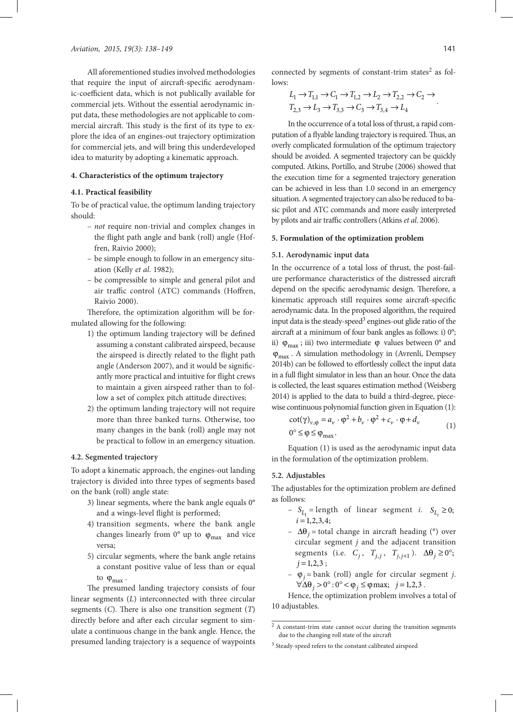All aforementioned studies involved methodologies that require the input of aircraft-specific aerodynamic-coefficient data, which is not publically available for commercial jets. Without the essential aerodynamic input data, these methodologies are not applicable to commercial aircraft. This study is the first of its type to explore the idea of an engines-out trajectory optimization for commercial jets, and will bring this underdeveloped idea to maturity by adopting a kinematic approach.

#### **4. Characteristics of the optimum trajectory**

### **4.1. Practical feasibility**

To be of practical value, the optimum landing trajectory should:

- *not* require non-trivial and complex changes in the flight path angle and bank (roll) angle (Hoffren, Raivio 2000);
- be simple enough to follow in an emergency situation (Kelly *et al*. 1982);
- be compressible to simple and general pilot and air traffic control (ATC) commands (Hoffren, Raivio 2000).

Therefore, the optimization algorithm will be formulated allowing for the following:

- 1) the optimum landing trajectory will be defined assuming a constant calibrated airspeed, because the airspeed is directly related to the flight path angle (Anderson 2007), and it would be significantly more practical and intuitive for flight crews to maintain a given airspeed rather than to follow a set of complex pitch attitude directives;
- 2) the optimum landing trajectory will not require more than three banked turns. Otherwise, too many changes in the bank (roll) angle may not be practical to follow in an emergency situation.

#### **4.2. Segmented trajectory**

To adopt a kinematic approach, the engines-out landing trajectory is divided into three types of segments based on the bank (roll) angle state:

- 3) linear segments, where the bank angle equals 0° and a wings-level flight is performed;
- 4) transition segments, where the bank angle changes linearly from  $0^{\circ}$  up to  $\varphi_{\text{max}}$  and vice versa;
- 5) circular segments, where the bank angle retains a constant positive value of less than or equal to  $\varphi_{\text{max}}$ .

The presumed landing trajectory consists of four linear segments (*L*) interconnected with three circular segments (*C*). There is also one transition segment (*T*) directly before and after each circular segment to simulate a continuous change in the bank angle. Hence, the presumed landing trajectory is a sequence of waypoints

connected by segments of constant-trim states<sup>2</sup> as follows:

$$
L_1 \to T_{1,1} \to C_1 \to T_{1,2} \to L_2 \to T_{2,2} \to C_2 \to
$$
  

$$
T_{2,3} \to L_3 \to T_{3,3} \to C_3 \to T_{3,4} \to L_4
$$

In the occurrence of a total loss of thrust, a rapid computation of a flyable landing trajectory is required. Thus, an overly complicated formulation of the optimum trajectory should be avoided. A segmented trajectory can be quickly computed. Atkins, Portillo, and Strube (2006) showed that the execution time for a segmented trajectory generation can be achieved in less than 1.0 second in an emergency situation. A segmented trajectory can also be reduced to basic pilot and ATC commands and more easily interpreted by pilots and air traffic controllers (Atkins *et al*. 2006).

#### **5. Formulation of the optimization problem**

#### **5.1. Aerodynamic input data**

In the occurrence of a total loss of thrust, the post-failure performance characteristics of the distressed aircraft depend on the specific aerodynamic design. Therefore, a kinematic approach still requires some aircraft-specific aerodynamic data. In the proposed algorithm, the required input data is the steady-speed<sup>3</sup> engines-out glide ratio of the aircraft at a minimum of four bank angles as follows: i) 0°; ii)  $\varphi_{\text{max}}$ ; iii) two intermediate  $\varphi$  values between 0° and  $\varphi_{\text{max}}$ . A simulation methodology in (Avrenli, Dempsey 2014b) can be followed to effortlessly collect the input data in a full flight simulator in less than an hour. Once the data is collected, the least squares estimation method (Weisberg 2014) is applied to the data to build a third-degree, piecewise continuous polynomial function given in Equation (1):

$$
\cot(\gamma)_{\nu,\varphi} = a_{\nu} \cdot \varphi^2 + b_{\nu} \cdot \varphi^2 + c_{\nu} \cdot \varphi + d_{\nu}
$$
  
0<sup>o</sup> \leq \varphi \leq \varphi<sub>max</sub>. (1)

Equation (1) is used as the aerodynamic input data in the formulation of the optimization problem.

#### **5.2. Adjustables**

The adjustables for the optimization problem are defined as follows:

- $-S_{L_1}$  = length of linear segment *i.*  $S_{L_i} \ge 0$ ;  $i = 1, 2, 3, 4;$
- ∆θ*<sup>j</sup>* = total change in aircraft heading (°) over circular segment *j* and the adjacent transition segments (i.e.  $C_j$ ,  $T_{j,j}$ ,  $T_{j,j+1}$ ).  $\Delta \theta_j \ge 0^\circ$ ;  $j = 1, 2, 3;$
- ϕ*<sup>j</sup>* = bank (roll) angle for circular segment *j*.  $\forall \Delta \theta_i > 0^\circ : 0^\circ < \phi_i \le \varphi$  max;  $j = 1, 2, 3$ .

Hence, the optimization problem involves a total of 10 adjustables.

<sup>2</sup> A constant-trim state cannot occur during the transition segments due to the changing roll state of the aircraft

<sup>&</sup>lt;sup>3</sup> Steady-speed refers to the constant calibrated airspeed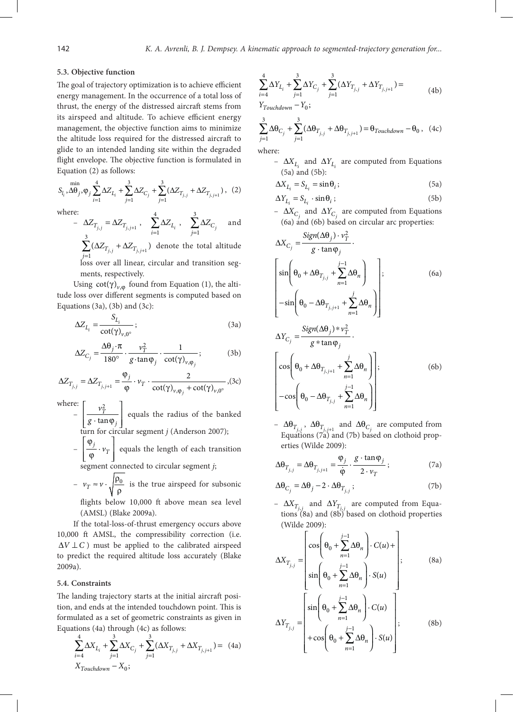#### **5.3. Objective function**

The goal of trajectory optimization is to achieve efficient energy management. In the occurrence of a total loss of thrust, the energy of the distressed aircraft stems from its airspeed and altitude. To achieve efficient energy management, the objective function aims to minimize the altitude loss required for the distressed aircraft to glide to an intended landing site within the degraded flight envelope. The objective function is formulated in Equation (2) as follows:

$$
S_{l_i}, \Delta\theta_j, \varphi_j \sum_{i=1}^{4} \Delta Z_{L_i} + \sum_{j=1}^{3} \Delta Z_{C_j} + \sum_{j=1}^{3} (\Delta Z_{T_{j,j}} + \Delta Z_{T_{j,j+1}}), (2)
$$

where:

e:  
\n
$$
-\Delta Z_{T_{j,j}} = \Delta Z_{T_{j,j+1}}, \quad \sum_{i=1}^{4} \Delta Z_{L_i}, \quad \sum_{j=1}^{3} \Delta Z_{C_j} \quad \text{and} \quad
$$

$$
\sum_{j=1} (\Delta Z_{T_{j,j}} + \Delta Z_{T_{j,j+1}})
$$
 denote the total altitude  
loss over all linear, circular and transition seg-

ments, respectively.

Using  $\cot(\gamma)_{\nu,\phi}$  found from Equation (1), the altitude loss over different segments is computed based on Equations  $(3a)$ ,  $(3b)$  and  $(3c)$ :

$$
\Delta Z_{L_i} = \frac{S_{L_i}}{\cot(\gamma)_{\nu,0^\circ}}; \tag{3a}
$$

$$
\Delta Z_{C_j} = \frac{\Delta \theta_j \cdot \pi}{180^\circ} \cdot \frac{v_T^2}{g \cdot \tan \varphi_j} \cdot \frac{1}{\cot(\gamma)_{v, \varphi_j}}; \tag{3b}
$$

$$
\Delta Z_{T_{j,j}} = \Delta Z_{T_{j,j+1}} = \frac{\varphi_j}{\varphi} \cdot \nu_T \cdot \frac{2}{\cot(\gamma)_{\nu,\varphi_j} + \cot(\gamma)_{\nu,0^\circ}}, (3c)
$$

where:

- 2 · tan *T j v g*  $\sqrt{\nu_{\rm T}^2}$  $\left[\frac{1}{g \cdot \tan \varphi_j}\right]$  equals the radius of the banked turn for circular segment *j* (Anderson 2007);
- $\frac{\Psi_j}{\omega} \cdot \nu_T$  $|\varphi_i|$  $\left[\begin{array}{c} V_T \\ \hline \varphi \end{array}\right]$  equals the length of each transition

segment connected to circular segment *j*;

- 
$$
v_T \approx v \cdot \sqrt{\frac{\rho_0}{\rho}}
$$
 is the true airspeed for subsonic

flights below 10,000 ft above mean sea level (AMSL) (Blake 2009a).

If the total-loss-of-thrust emergency occurs above 10,000 ft AMSL, the compressibility correction (i.e.  $\Delta V \perp C$ ) must be applied to the calibrated airspeed to predict the required altitude loss accurately (Blake 2009a).

#### **5.4. Constraints**

The landing trajectory starts at the initial aircraft position, and ends at the intended touchdown point. This is formulated as a set of geometric constraints as given in Equations (4a) through (4c) as follows:

$$
\sum_{i=4}^{4} \Delta X_{L_i} + \sum_{j=1}^{3} \Delta X_{C_j} + \sum_{j=1}^{3} (\Delta X_{T_{j,j}} + \Delta X_{T_{j,j+1}}) = (4a)
$$
  

$$
X_{Touchdown} - X_0;
$$

$$
\sum_{i=4}^{4} \Delta Y_{L_i} + \sum_{j=1}^{3} \Delta Y_{C_j} + \sum_{j=1}^{3} (\Delta Y_{T_{j,j}} + \Delta Y_{T_{j,j+1}}) =
$$
\n
$$
Y_{T_{j+1}} - Y_{S_{j}}.
$$
\n(4b)

 $\boldsymbol{0}$ ; *Touchdown Y Y* −

$$
\sum_{j=1}^{3} \Delta \theta_{C_j} + \sum_{j=1}^{3} (\Delta \theta_{T_{j,j}} + \Delta \theta_{T_{j,j+1}}) = \theta_{Touchdown} - \theta_0, \quad (4c)
$$

where:

 $-$  ∆*X*<sub>*L*</sub> and ∆*Y*<sub>*L*</sub> are computed from Equations (5a) and (5b):

$$
\Delta X_{L_i} = S_{L_i} = \sin \theta_i \tag{5a}
$$

$$
\Delta Y_{L_i} = S_{L_i} \cdot \sin \theta_i ; \qquad (5b)
$$

–  $\Delta X_{C_j}$  and  $\Delta Y_{C_j}$  are computed from Equations (6a) and (6b) based on circular arc properties:

$$
\Delta X_{C_j} = \frac{\text{Sign}(\Delta \theta_j) \cdot v_T^2}{g \cdot \tan \varphi_j} \cdot \left[\sin\left(\theta_0 + \Delta \theta_{T_{j,j}} + \sum_{n=1}^{j-1} \Delta \theta_n\right)\right],\tag{6a}
$$

$$
-\sin\left(\theta_0 - \Delta \theta_{T_{j,j+1}} + \sum_{n=1}^{j} \Delta \theta_n\right)
$$

$$
\Delta Y_{C_j} = \frac{\text{Sign}(\Delta \theta_j) * v_T^2}{g * \tan \varphi_j} \cdot \left[\cos\left(\theta_0 + \Delta \theta_{T_{j,j+1}} + \sum_{n=1}^{j} \Delta \theta_n\right)\right],\tag{6b}
$$

$$
-\cos\left(\theta_0 - \Delta \theta_{T_{j,j}} + \sum_{n=1}^{j-1} \Delta \theta_n\right)
$$

–  $\Delta θ$ <sub>*T<sub>j,j</sub>*,  $\Delta θ$ <sub>*T<sub>j,j+1</sub>* and  $\Delta θ$ <sub>*C<sub>j</sub>*</sub> are computed from</sub></sub> Equations (7a) and (7b) based on clothoid properties (Wilde 2009):

$$
\Delta \Theta_{T_{j,j}} = \Delta \Theta_{T_{j,j+1}} = \frac{\varphi_j}{\dot{\varphi}} \cdot \frac{g \cdot \tan \varphi_j}{2 \cdot \nu_T};
$$
 (7a)

$$
\Delta\theta_{C_j} = \Delta\theta_j - 2 \cdot \Delta\theta_{T_{j,j}};
$$
\n(7b)

 $-$  Δ*X*<sub>*T<sub>i</sub>*</sub>, and Δ*Y*<sub>*T<sub>i</sub>*</sub>, are computed from Equations  $(8a)$  and  $(8b)$  based on clothoid properties (Wilde 2009):

$$
\Delta X_{T_{j,j}} = \begin{bmatrix}\n\cos\left(\theta_0 + \sum_{n=1}^{j-1} \Delta \theta_n\right) \cdot C(u) + \\
\sin\left(\theta_0 + \sum_{n=1}^{j-1} \Delta \theta_n\right) \cdot S(u) \\
\sin\left(\theta_0 + \sum_{n=1}^{j-1} \Delta \theta_n\right) \cdot C(u) \\
\Delta Y_{T_{j,j}} = \begin{bmatrix}\n\sin\left(\theta_0 + \sum_{n=1}^{j-1} \Delta \theta_n\right) \cdot C(u) \\
+\cos\left(\theta_0 + \sum_{n=1}^{j-1} \Delta \theta_n\right) \cdot S(u)\n\end{bmatrix};\n\tag{8b}
$$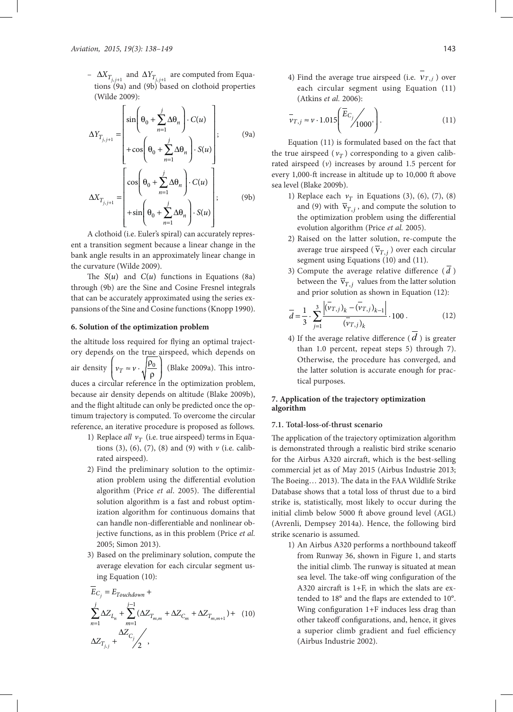$-$  ΔX<sub>T<sub>j,j+1</sub> and ΔY<sub>T<sub>j,j+1</sub> are computed from Equa-</sub></sub> tions (9a) and (9b) based on clothoid properties (Wilde 2009):

$$
\Delta Y_{T_{j,j+1}} = \begin{bmatrix} \sin\left(\theta_0 + \sum_{n=1}^j \Delta \theta_n\right) \cdot C(u) \\ + \cos\left(\theta_0 + \sum_{n=1}^j \Delta \theta_n\right) \cdot S(u) \\ + \cos\left(\theta_0 + \sum_{n=1}^j \Delta \theta_n\right) \cdot C(u) \\ \Delta X_{T_{j,j+1}} = \begin{bmatrix} \cos\left(\theta_0 + \sum_{n=1}^j \Delta \theta_n\right) \cdot C(u) \\ + \sin\left(\theta_0 + \sum_{n=1}^j \Delta \theta_n\right) \cdot S(u) \end{bmatrix}; \qquad (9b)
$$

A clothoid (i.e. Euler's spiral) can accurately represent a transition segment because a linear change in the bank angle results in an approximately linear change in the curvature (Wilde 2009).

The  $S(u)$  and  $C(u)$  functions in Equations (8a) through (9b) are the Sine and Cosine Fresnel integrals that can be accurately approximated using the series expansions of the Sine and Cosine functions (Knopp 1990).

#### **6. Solution of the optimization problem**

the altitude loss required for flying an optimal trajectory depends on the true airspeed, which depends on air density  $\left(v_T \approx v \cdot \sqrt{\frac{\rho_0}{\rho}}\right)$  (Blake 2009a). This introduces a circular reference in the optimization problem, because air density depends on altitude (Blake 2009b), and the flight altitude can only be predicted once the optimum trajectory is computed. To overcome the circular reference, an iterative procedure is proposed as follows.

- 1) Replace *all*  $v_T$  (i.e. true airspeed) terms in Equations (3), (6), (7), (8) and (9) with *v* (i.e. calibrated airspeed).
- 2) Find the preliminary solution to the optimization problem using the differential evolution algorithm (Price *et al*. 2005). The differential solution algorithm is a fast and robust optimization algorithm for continuous domains that can handle non-differentiable and nonlinear objective functions, as in this problem (Price *et al.* 2005; Simon 2013).
- 3) Based on the preliminary solution, compute the average elevation for each circular segment using Equation (10):

$$
E_{C_j} = E_{Touchdown} +
$$
  
\n
$$
\sum_{n=1}^{j} \Delta Z_{L_n} + \sum_{m=1}^{j-1} (\Delta Z_{T_{m,m}} + \Delta Z_{C_m} + \Delta Z_{T_{m,m+1}}) + (10)
$$
  
\n
$$
\Delta Z_{T_{j,j}} + \sum_{j=1}^{j} (\Delta Z_{C_j} + \Delta Z_{C_j} + \Delta Z_{T_{m,m+1}})
$$

4) Find the average true airspeed (i.e.  $v_{T,i}$ ) over each circular segment using Equation (11) (Atkins *et al.* 2006):

$$
\overline{v}_{T,j} \approx v \cdot 1.015 \left( \frac{\overline{E}_{C_j}}{1000} \right). \tag{11}
$$

Equation (11) is formulated based on the fact that the true airspeed ( $v_T$ ) corresponding to a given calibrated airspeed (*v*) increases by around 1.5 percent for every 1,000-ft increase in altitude up to 10,000 ft above sea level (Blake 2009b).

- 1) Replace each  $v<sub>T</sub>$  in Equations (3), (6), (7), (8) and (9) with  $\overline{v}_{T,i}$ , and compute the solution to the optimization problem using the differential evolution algorithm (Price *et al.* 2005).
- 2) Raised on the latter solution, re-compute the average true airspeed ( $\bar{v}_{T,i}$ ) over each circular segment using Equations (10) and (11).
- 3) Compute the average relative difference ( *d* ) between the  $\bar{v}_{T,i}$  values from the latter solution and prior solution as shown in Equation (12):

$$
\overline{d} = \frac{1}{3} \cdot \sum_{j=1}^{3} \frac{\left| (\overline{v}_{T,j})_k - (\overline{v}_{T,j})_{k-1} \right|}{(\overline{v}_{T,j})_k} \cdot 100 \,. \tag{12}
$$

4) If the average relative difference ( *d* ) is greater than 1.0 percent, repeat steps 5) through 7). Otherwise, the procedure has converged, and the latter solution is accurate enough for practical purposes.

# **7. Application of the trajectory optimization algorithm**

#### **7.1. Total-loss-of-thrust scenario**

The application of the trajectory optimization algorithm is demonstrated through a realistic bird strike scenario for the Airbus A320 aircraft, which is the best-selling commercial jet as of May 2015 (Airbus Industrie 2013; The Boeing… 2013). The data in the FAA Wildlife Strike Database shows that a total loss of thrust due to a bird strike is, statistically, most likely to occur during the initial climb below 5000 ft above ground level (AGL) (Avrenli, Dempsey 2014a). Hence, the following bird strike scenario is assumed.

1) An Airbus A320 performs a northbound takeoff from Runway 36, shown in Figure 1, and starts the initial climb. The runway is situated at mean sea level. The take-off wing configuration of the A320 aircraft is 1+F, in which the slats are extended to 18° and the flaps are extended to 10°. Wing configuration 1+F induces less drag than other takeoff configurations, and, hence, it gives a superior climb gradient and fuel efficiency (Airbus Industrie 2002).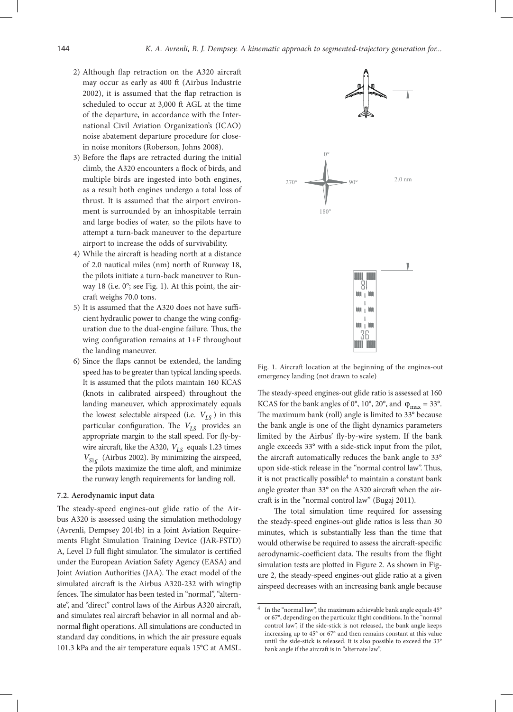- 2) Although flap retraction on the A320 aircraft may occur as early as 400 ft (Airbus Industrie 2002), it is assumed that the flap retraction is scheduled to occur at 3,000 ft AGL at the time of the departure, in accordance with the International Civil Aviation Organization's (ICAO) noise abatement departure procedure for closein noise monitors (Roberson, Johns 2008).
- 3) Before the flaps are retracted during the initial climb, the A320 encounters a flock of birds, and multiple birds are ingested into both engines, as a result both engines undergo a total loss of thrust. It is assumed that the airport environment is surrounded by an inhospitable terrain and large bodies of water, so the pilots have to attempt a turn-back maneuver to the departure airport to increase the odds of survivability.
- 4) While the aircraft is heading north at a distance of 2.0 nautical miles (nm) north of Runway 18, the pilots initiate a turn-back maneuver to Runway 18 (i.e. 0°; see Fig. 1). At this point, the aircraft weighs 70.0 tons.
- 5) It is assumed that the A320 does not have sufficient hydraulic power to change the wing configuration due to the dual-engine failure. Thus, the wing configuration remains at 1+F throughout the landing maneuver.
- 6) Since the flaps cannot be extended, the landing speed has to be greater than typical landing speeds. It is assumed that the pilots maintain 160 KCAS (knots in calibrated airspeed) throughout the landing maneuver, which approximately equals the lowest selectable airspeed (i.e.  $V_{LS}$ ) in this particular configuration. The  $V_{LS}$  provides an appropriate margin to the stall speed. For fly-bywire aircraft, like the A320,  $V_{LS}$  equals 1.23 times  $V_{S1g}$  (Airbus 2002). By minimizing the airspeed, the pilots maximize the time aloft, and minimize the runway length requirements for landing roll.

# **7.2. Aerodynamic input data**

The steady-speed engines-out glide ratio of the Airbus A320 is assessed using the simulation methodology (Avrenli, Dempsey 2014b) in a Joint Aviation Requirements Flight Simulation Training Device (JAR-FSTD) A, Level D full flight simulator. The simulator is certified under the European Aviation Safety Agency (EASA) and Joint Aviation Authorities (JAA). The exact model of the simulated aircraft is the Airbus A320-232 with wingtip fences. The simulator has been tested in "normal", "alternate", and "direct" control laws of the Airbus A320 aircraft, and simulates real aircraft behavior in all normal and abnormal flight operations. All simulations are conducted in standard day conditions, in which the air pressure equals 101.3 kPa and the air temperature equals 15°C at AMSL.



Fig. 1. Aircraft location at the beginning of the engines-out emergency landing (not drawn to scale)

The steady-speed engines-out glide ratio is assessed at 160 KCAS for the bank angles of  $0^{\circ}$ ,  $10^{\circ}$ ,  $20^{\circ}$ , and  $\varphi_{\text{max}} = 33^{\circ}$ . The maximum bank (roll) angle is limited to 33° because the bank angle is one of the flight dynamics parameters limited by the Airbus' fly-by-wire system. If the bank angle exceeds 33° with a side-stick input from the pilot, the aircraft automatically reduces the bank angle to 33° upon side-stick release in the "normal control law". Thus, it is not practically possible $4$  to maintain a constant bank angle greater than 33° on the A320 aircraft when the aircraft is in the "normal control law" (Bugaj 2011).

The total simulation time required for assessing the steady-speed engines-out glide ratios is less than 30 minutes, which is substantially less than the time that would otherwise be required to assess the aircraft-specific aerodynamic-coefficient data. The results from the flight simulation tests are plotted in Figure 2. As shown in Figure 2, the steady-speed engines-out glide ratio at a given airspeed decreases with an increasing bank angle because

<sup>4</sup> In the "normal law", the maximum achievable bank angle equals 45° or 67°, depending on the particular flight conditions. In the "normal control law", if the side-stick is not released, the bank angle keeps increasing up to 45° or 67° and then remains constant at this value until the side-stick is released. It is also possible to exceed the 33° bank angle if the aircraft is in "alternate law".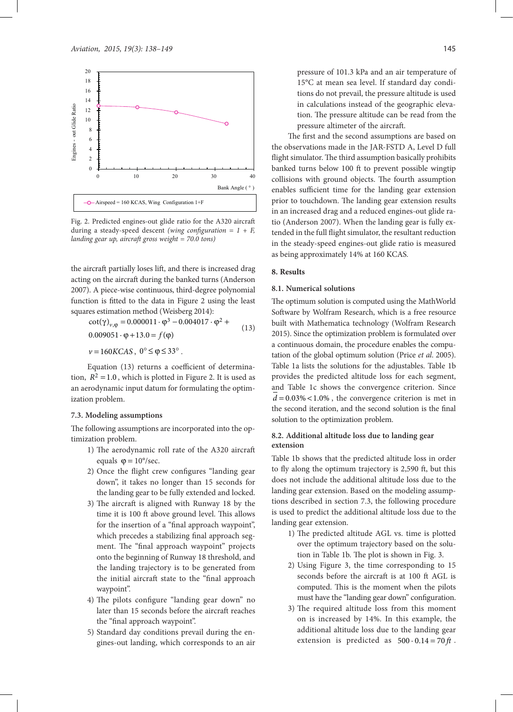

Fig. 2. Predicted engines-out glide ratio for the A320 aircraft during a steady-speed descent *(wing configuration = 1 + F, landing gear up, aircraft gross weight = 70.0 tons)*

the aircraft partially loses lift, and there is increased drag acting on the aircraft during the banked turns (Anderson 2007). A piece-wise continuous, third-degree polynomial function is fitted to the data in Figure 2 using the least squares estimation method (Weisberg 2014):

$$
\cot(\gamma)_{\nu,\varphi} = 0.000011 \cdot \varphi^3 - 0.004017 \cdot \varphi^2 + 0.009051 \cdot \varphi + 13.0 = f(\varphi)
$$
  

$$
\nu = 160KCAS, \ 0^\circ \leq \varphi \leq 33^\circ.
$$
 (13)

Equation (13) returns a coefficient of determination,  $R^2 = 1.0$ , which is plotted in Figure 2. It is used as an aerodynamic input datum for formulating the optimization problem.

#### **7.3. Modeling assumptions**

The following assumptions are incorporated into the optimization problem.

- 1) The aerodynamic roll rate of the A320 aircraft equals  $\varphi = 10^{\circ}/\text{sec}$ .
- 2) Once the flight crew configures "landing gear down", it takes no longer than 15 seconds for the landing gear to be fully extended and locked.
- 3) The aircraft is aligned with Runway 18 by the time it is 100 ft above ground level. This allows for the insertion of a "final approach waypoint", which precedes a stabilizing final approach segment. The "final approach waypoint" projects onto the beginning of Runway 18 threshold, and the landing trajectory is to be generated from the initial aircraft state to the "final approach waypoint".
- 4) The pilots configure "landing gear down" no later than 15 seconds before the aircraft reaches the "final approach waypoint".
- 5) Standard day conditions prevail during the engines-out landing, which corresponds to an air

pressure of 101.3 kPa and an air temperature of 15°C at mean sea level. If standard day conditions do not prevail, the pressure altitude is used in calculations instead of the geographic elevation. The pressure altitude can be read from the pressure altimeter of the aircraft.

The first and the second assumptions are based on the observations made in the JAR-FSTD A, Level D full flight simulator. The third assumption basically prohibits banked turns below 100 ft to prevent possible wingtip collisions with ground objects. The fourth assumption enables sufficient time for the landing gear extension prior to touchdown. The landing gear extension results in an increased drag and a reduced engines-out glide ratio (Anderson 2007). When the landing gear is fully extended in the full flight simulator, the resultant reduction in the steady-speed engines-out glide ratio is measured as being approximately 14% at 160 KCAS*.*

#### **8. Results**

# **8.1. Numerical solutions**

The optimum solution is computed using the MathWorld Software by Wolfram Research, which is a free resource built with Mathematica technology (Wolfram Research 2015). Since the optimization problem is formulated over a continuous domain, the procedure enables the computation of the global optimum solution (Price *et al*. 2005). Table 1a lists the solutions for the adjustables. Table 1b provides the predicted altitude loss for each segment, and Table 1c shows the convergence criterion. Since  $d = 0.03\% < 1.0\%$ , the convergence criterion is met in the second iteration, and the second solution is the final solution to the optimization problem.

#### **8.2. Additional altitude loss due to landing gear extension**

Table 1b shows that the predicted altitude loss in order to fly along the optimum trajectory is 2,590 ft, but this does not include the additional altitude loss due to the landing gear extension. Based on the modeling assumptions described in section 7.3, the following procedure is used to predict the additional altitude loss due to the landing gear extension.

- 1) The predicted altitude AGL vs. time is plotted over the optimum trajectory based on the solution in Table 1b. The plot is shown in Fig. 3.
- 2) Using Figure 3, the time corresponding to 15 seconds before the aircraft is at 100 ft AGL is computed. This is the moment when the pilots must have the "landing gear down" configuration.
- 3) The required altitude loss from this moment on is increased by 14%. In this example, the additional altitude loss due to the landing gear extension is predicted as  $500 \cdot 0.14 = 70 \text{ ft}$ .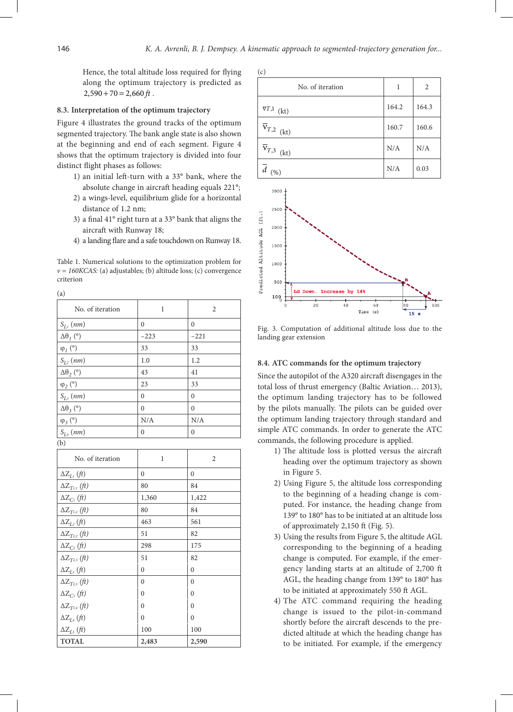Hence, the total altitude loss required for flying along the optimum trajectory is predicted as  $2,590 + 70 = 2,660 \text{ ft}.$ 

# **8.3. Interpretation of the optimum trajectory**

Figure 4 illustrates the ground tracks of the optimum segmented trajectory. The bank angle state is also shown at the beginning and end of each segment. Figure 4 shows that the optimum trajectory is divided into four distinct flight phases as follows:

- 1) an initial left-turn with a 33° bank, where the absolute change in aircraft heading equals 221°;
- 2) a wings-level, equilibrium glide for a horizontal distance of 1.2 nm;
- 3) a final 41° right turn at a 33° bank that aligns the aircraft with Runway 18;
- 4) a landing flare and a safe touchdown on Runway 18.

Table 1. Numerical solutions to the optimization problem for  $v = 160KCAS$ : (a) adjustables; (b) altitude loss; (c) convergence criterion

(a)

| No. of iteration     | 1        | $\overline{2}$ |
|----------------------|----------|----------------|
| $S_{L}$ (nm)         | $\theta$ | $\mathbf{0}$   |
| $\Delta\theta_I$ (°) | $-223$   | $-221$         |
| $\varphi_l$ (°)      | 33       | 33             |
| $S_{L_2}(nm)$        | 1.0      | 1.2            |
| $\Delta\theta_2$ (°) | 43       | 41             |
| $\varphi_2$ (°)      | 23       | 33             |
| $S_{L3}(nm)$         | $\theta$ | $\theta$       |
| $\Delta\theta_3$ (°) | $\theta$ | $\theta$       |
| $\varphi_3$ (°)      | N/A      | N/A            |
| $S_{L4}$ (nm)        | $\theta$ | $\theta$       |
| (b)                  |          |                |

| No. of iteration                          | 1            | $\overline{2}$ |
|-------------------------------------------|--------------|----------------|
| $\Delta Z_{L}$ (ft)                       | 0            | 0              |
| $\Delta Z_{Ti,1}\left(\mathit{ft}\right)$ | 80           | 84             |
| $\Delta Z_{C_l}$ (ft)                     | 1,360        | 1,422          |
| $\Delta Z_{T_{1,2}}(ft)$                  | 80           | 84             |
| $\Delta Z_{I_2}$ (ft)                     | 463          | 561            |
| $\Delta Z_{T_{2,2}}(ft)$                  | 51           | 82             |
| $\Delta Z_{C_2}$ (ft)                     | 298          | 175            |
| $\Delta Z_{T_{23}}(ft)$                   | 51           | 82             |
| $\Delta Z_{I_3}$ (ft)                     | $\theta$     | $\theta$       |
| $\Delta Z_{T_{23}}(ft)$                   | $\mathbf{0}$ | $\mathbf{0}$   |
| $\Delta Z_{C_3}$ (ft)                     | $\theta$     | $\theta$       |
| $\Delta Z_{T_{3,4}}$ (ft)                 | $\theta$     | $\theta$       |
| $\Delta Z_{I.4}$ (ft)                     | $\mathbf{0}$ | $\mathbf{0}$   |
| $\Delta Z_{I_5}$ (ft)                     | 100          | 100            |
| <b>TOTAL</b>                              | 2,483        | 2,590          |

| (c)                       |       |       |
|---------------------------|-------|-------|
| No. of iteration          | 1     | 2     |
| $\overline{v}T,1$<br>(kt) | 164.2 | 164.3 |
| $\overline{v}_{T,2}$ (kt) | 160.7 | 160.6 |
| $\overline{v}_{T,3}$ (kt) | N/A   | N/A   |
| (%)                       | N/A   | 0.03  |



Fig. 3. Computation of additional altitude loss due to the landing gear extension

#### **8.4. ATC commands for the optimum trajectory**

Since the autopilot of the A320 aircraft disengages in the total loss of thrust emergency (Baltic Aviation… 2013), the optimum landing trajectory has to be followed by the pilots manually. The pilots can be guided over the optimum landing trajectory through standard and simple ATC commands. In order to generate the ATC commands, the following procedure is applied.

- 1) The altitude loss is plotted versus the aircraft heading over the optimum trajectory as shown in Figure 5.
- 2) Using Figure 5, the altitude loss corresponding to the beginning of a heading change is computed. For instance, the heading change from 139° to 180° has to be initiated at an altitude loss of approximately 2,150 ft (Fig. 5).
- 3) Using the results from Figure 5, the altitude AGL corresponding to the beginning of a heading change is computed. For example, if the emergency landing starts at an altitude of 2,700 ft AGL, the heading change from 139° to 180° has to be initiated at approximately 550 ft AGL.
- 4) The ATC command requiring the heading change is issued to the pilot-in-command shortly before the aircraft descends to the predicted altitude at which the heading change has to be initiated. For example, if the emergency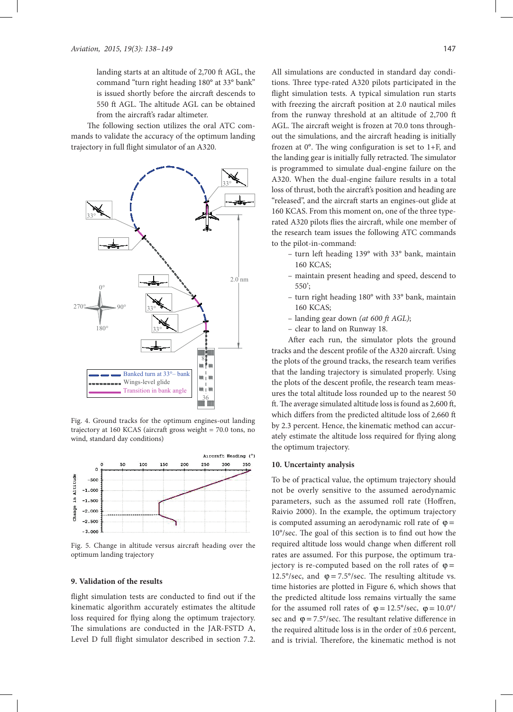landing starts at an altitude of 2,700 ft AGL, the command "turn right heading 180° at 33° bank" is issued shortly before the aircraft descends to 550 ft AGL. The altitude AGL can be obtained from the aircraft's radar altimeter.

The following section utilizes the oral ATC commands to validate the accuracy of the optimum landing trajectory in full flight simulator of an A320.



Fig. 4. Ground tracks for the optimum engines-out landing trajectory at 160 KCAS (aircraft gross weight = 70.0 tons, no wind, standard day conditions)



Fig. 5. Change in altitude versus aircraft heading over the optimum landing trajectory

#### **9. Validation of the results**

flight simulation tests are conducted to find out if the kinematic algorithm accurately estimates the altitude loss required for flying along the optimum trajectory. The simulations are conducted in the JAR-FSTD A, Level D full flight simulator described in section 7.2.

All simulations are conducted in standard day conditions. Three type-rated A320 pilots participated in the flight simulation tests. A typical simulation run starts with freezing the aircraft position at 2.0 nautical miles from the runway threshold at an altitude of 2,700 ft AGL. The aircraft weight is frozen at 70.0 tons throughout the simulations, and the aircraft heading is initially frozen at  $0^\circ$ . The wing configuration is set to 1+F, and the landing gear is initially fully retracted. The simulator is programmed to simulate dual-engine failure on the A320. When the dual-engine failure results in a total loss of thrust, both the aircraft's position and heading are "released", and the aircraft starts an engines-out glide at 160 KCAS. From this moment on, one of the three typerated A320 pilots flies the aircraft, while one member of the research team issues the following ATC commands to the pilot-in-command:

- turn left heading 139° with 33° bank, maintain 160 KCAS;
- maintain present heading and speed, descend to 550';
- turn right heading 180° with 33° bank, maintain 160 KCAS;
- landing gear down *(at 600 ft AGL)*;
- clear to land on Runway 18.

After each run, the simulator plots the ground tracks and the descent profile of the A320 aircraft. Using the plots of the ground tracks, the research team verifies that the landing trajectory is simulated properly. Using the plots of the descent profile, the research team measures the total altitude loss rounded up to the nearest 50 ft. The average simulated altitude loss is found as 2,600 ft, which differs from the predicted altitude loss of 2,660 ft by 2.3 percent. Hence, the kinematic method can accurately estimate the altitude loss required for flying along the optimum trajectory.

#### **10. Uncertainty analysis**

To be of practical value, the optimum trajectory should not be overly sensitive to the assumed aerodynamic parameters, such as the assumed roll rate (Hoffren, Raivio 2000). In the example, the optimum trajectory is computed assuming an aerodynamic roll rate of  $\varphi =$ 10°/sec. The goal of this section is to find out how the required altitude loss would change when different roll rates are assumed. For this purpose, the optimum trajectory is re-computed based on the roll rates of  $\varphi$  = 12.5°/sec, and  $\varphi = 7.5$ °/sec. The resulting altitude vs. time histories are plotted in Figure 6, which shows that the predicted altitude loss remains virtually the same for the assumed roll rates of  $\varphi = 12.5^{\circ}/\text{sec}$ ,  $\varphi = 10.0^{\circ}/$ sec and  $\varphi = 7.5^{\circ}/\text{sec}$ . The resultant relative difference in the required altitude loss is in the order of  $\pm 0.6$  percent, and is trivial. Therefore, the kinematic method is not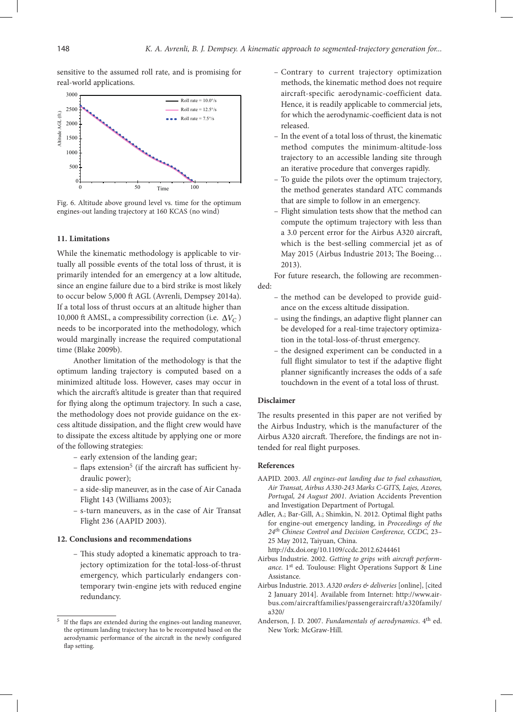sensitive to the assumed roll rate, and is promising for real-world applications.



Fig. 6. Altitude above ground level vs. time for the optimum engines-out landing trajectory at 160 KCAS (no wind)

# **11. Limitations**

While the kinematic methodology is applicable to virtually all possible events of the total loss of thrust, it is primarily intended for an emergency at a low altitude, since an engine failure due to a bird strike is most likely to occur below 5,000 ft AGL (Avrenli, Dempsey 2014a). If a total loss of thrust occurs at an altitude higher than 10,000 ft AMSL, a compressibility correction (i.e.  $\Delta V_C$ ) needs to be incorporated into the methodology, which would marginally increase the required computational time (Blake 2009b).

Another limitation of the methodology is that the optimum landing trajectory is computed based on a minimized altitude loss. However, cases may occur in which the aircraft's altitude is greater than that required for flying along the optimum trajectory. In such a case, the methodology does not provide guidance on the excess altitude dissipation, and the flight crew would have to dissipate the excess altitude by applying one or more of the following strategies:

- early extension of the landing gear;
- $-$  flaps extension<sup>5</sup> (if the aircraft has sufficient hydraulic power);
- a side-slip maneuver, as in the case of Air Canada Flight 143 (Williams 2003);
- s-turn maneuvers, as in the case of Air Transat Flight 236 (AAPID 2003).

# **12. Conclusions and recommendations**

– This study adopted a kinematic approach to trajectory optimization for the total-loss-of-thrust emergency, which particularly endangers contemporary twin-engine jets with reduced engine redundancy.

- Contrary to current trajectory optimization methods, the kinematic method does not require aircraft-specific aerodynamic-coefficient data. Hence, it is readily applicable to commercial jets, for which the aerodynamic-coefficient data is not released.
- In the event of a total loss of thrust, the kinematic method computes the minimum-altitude-loss trajectory to an accessible landing site through an iterative procedure that converges rapidly.
- To guide the pilots over the optimum trajectory, the method generates standard ATC commands that are simple to follow in an emergency.
- Flight simulation tests show that the method can compute the optimum trajectory with less than a 3.0 percent error for the Airbus A320 aircraft, which is the best-selling commercial jet as of May 2015 (Airbus Industrie 2013; The Boeing… 2013).

For future research, the following are recommended:

- the method can be developed to provide guidance on the excess altitude dissipation.
- using the findings, an adaptive flight planner can be developed for a real-time trajectory optimization in the total-loss-of-thrust emergency.
- the designed experiment can be conducted in a full flight simulator to test if the adaptive flight planner significantly increases the odds of a safe touchdown in the event of a total loss of thrust.

#### **Disclaimer**

The results presented in this paper are not verified by the Airbus Industry, which is the manufacturer of the Airbus A320 aircraft. Therefore, the findings are not intended for real flight purposes.

#### **References**

- AAPID. 2003. *All engines-out landing due to fuel exhaustion, Air Transat, Airbus A330-243 Marks C-GITS, Lajes, Azores, Portugal, 24 August 2001*. Aviation Accidents Prevention and Investigation Department of Portugal.
- Adler, A.; Bar-Gill, A.; Shimkin, N. 2012. Optimal flight paths for engine-out emergency landing, in *Proceedings of the 24th Chinese Control and Decision Conference, CCDC,* 23– 25 May 2012, Taiyuan, China.

http://dx.doi.org/10.1109/ccdc.2012.6244461

- Airbus Industrie. 2002. *Getting to grips with aircraft perform*ance. 1<sup>st</sup> ed. Toulouse: Flight Operations Support & Line Assistance.
- Airbus Industrie. 2013. *A320 orders & deliveries* [online], [cited 2 January 2014]. Available from Internet: http://www.airbus.com/aircraftfamilies/passengeraircraft/a320family/ a320/
- Anderson, J. D. 2007. *Fundamentals of aerodynamics*. 4th ed. New York: McGraw-Hill.

 $^{\rm 5}\,$  If the flaps are extended during the engines-out landing maneuver, the optimum landing trajectory has to be recomputed based on the aerodynamic performance of the aircraft in the newly configured flap setting.